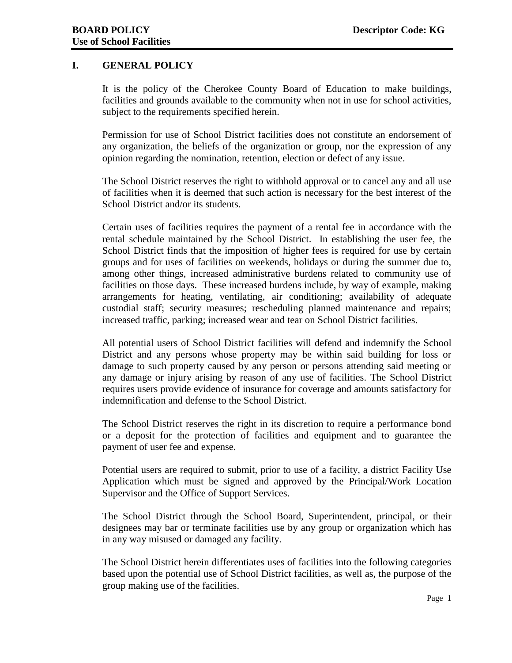## **I. GENERAL POLICY**

It is the policy of the Cherokee County Board of Education to make buildings, facilities and grounds available to the community when not in use for school activities, subject to the requirements specified herein.

Permission for use of School District facilities does not constitute an endorsement of any organization, the beliefs of the organization or group, nor the expression of any opinion regarding the nomination, retention, election or defect of any issue.

The School District reserves the right to withhold approval or to cancel any and all use of facilities when it is deemed that such action is necessary for the best interest of the School District and/or its students.

Certain uses of facilities requires the payment of a rental fee in accordance with the rental schedule maintained by the School District. In establishing the user fee, the School District finds that the imposition of higher fees is required for use by certain groups and for uses of facilities on weekends, holidays or during the summer due to, among other things, increased administrative burdens related to community use of facilities on those days. These increased burdens include, by way of example, making arrangements for heating, ventilating, air conditioning; availability of adequate custodial staff; security measures; rescheduling planned maintenance and repairs; increased traffic, parking; increased wear and tear on School District facilities.

All potential users of School District facilities will defend and indemnify the School District and any persons whose property may be within said building for loss or damage to such property caused by any person or persons attending said meeting or any damage or injury arising by reason of any use of facilities. The School District requires users provide evidence of insurance for coverage and amounts satisfactory for indemnification and defense to the School District.

The School District reserves the right in its discretion to require a performance bond or a deposit for the protection of facilities and equipment and to guarantee the payment of user fee and expense.

Potential users are required to submit, prior to use of a facility, a district Facility Use Application which must be signed and approved by the Principal/Work Location Supervisor and the Office of Support Services.

The School District through the School Board, Superintendent, principal, or their designees may bar or terminate facilities use by any group or organization which has in any way misused or damaged any facility.

The School District herein differentiates uses of facilities into the following categories based upon the potential use of School District facilities, as well as, the purpose of the group making use of the facilities.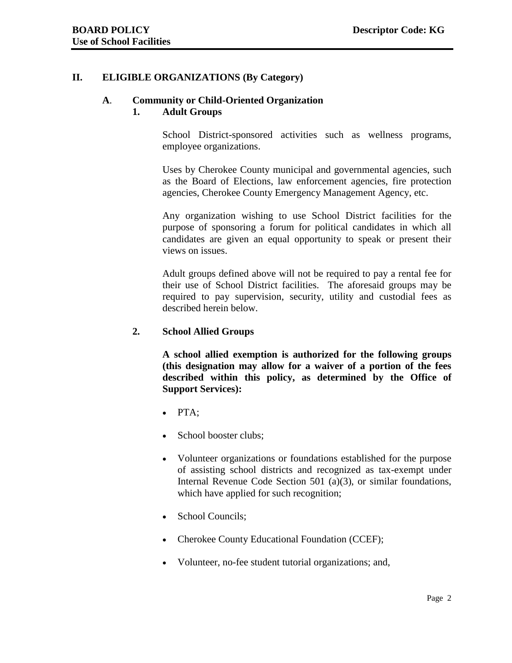#### **II. ELIGIBLE ORGANIZATIONS (By Category)**

# **A**. **Community or Child-Oriented Organization**

#### **1. Adult Groups**

School District-sponsored activities such as wellness programs, employee organizations.

Uses by Cherokee County municipal and governmental agencies, such as the Board of Elections, law enforcement agencies, fire protection agencies, Cherokee County Emergency Management Agency, etc.

Any organization wishing to use School District facilities for the purpose of sponsoring a forum for political candidates in which all candidates are given an equal opportunity to speak or present their views on issues.

Adult groups defined above will not be required to pay a rental fee for their use of School District facilities. The aforesaid groups may be required to pay supervision, security, utility and custodial fees as described herein below.

#### **2. School Allied Groups**

**A school allied exemption is authorized for the following groups (this designation may allow for a waiver of a portion of the fees described within this policy, as determined by the Office of Support Services):**

- PTA;
- School booster clubs;
- Volunteer organizations or foundations established for the purpose of assisting school districts and recognized as tax-exempt under Internal Revenue Code Section 501 (a)(3), or similar foundations, which have applied for such recognition;
- School Councils;
- Cherokee County Educational Foundation (CCEF);
- Volunteer, no-fee student tutorial organizations; and,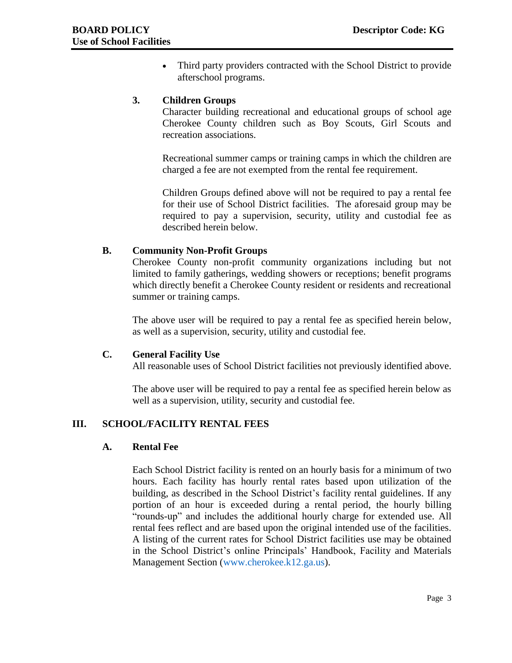• Third party providers contracted with the School District to provide afterschool programs.

#### **3. Children Groups**

Character building recreational and educational groups of school age Cherokee County children such as Boy Scouts, Girl Scouts and recreation associations.

Recreational summer camps or training camps in which the children are charged a fee are not exempted from the rental fee requirement.

Children Groups defined above will not be required to pay a rental fee for their use of School District facilities. The aforesaid group may be required to pay a supervision, security, utility and custodial fee as described herein below.

#### **B. Community Non-Profit Groups**

Cherokee County non-profit community organizations including but not limited to family gatherings, wedding showers or receptions; benefit programs which directly benefit a Cherokee County resident or residents and recreational summer or training camps.

The above user will be required to pay a rental fee as specified herein below, as well as a supervision, security, utility and custodial fee.

#### **C. General Facility Use**

All reasonable uses of School District facilities not previously identified above.

The above user will be required to pay a rental fee as specified herein below as well as a supervision, utility, security and custodial fee.

#### **III. SCHOOL/FACILITY RENTAL FEES**

#### **A. Rental Fee**

Each School District facility is rented on an hourly basis for a minimum of two hours. Each facility has hourly rental rates based upon utilization of the building, as described in the School District's facility rental guidelines. If any portion of an hour is exceeded during a rental period, the hourly billing "rounds-up" and includes the additional hourly charge for extended use. All rental fees reflect and are based upon the original intended use of the facilities. A listing of the current rates for School District facilities use may be obtained in the School District's online Principals' Handbook, Facility and Materials Management Section [\(www.cherokee.k12.ga.us\)](http://www.cherokee.k12.ga.us/).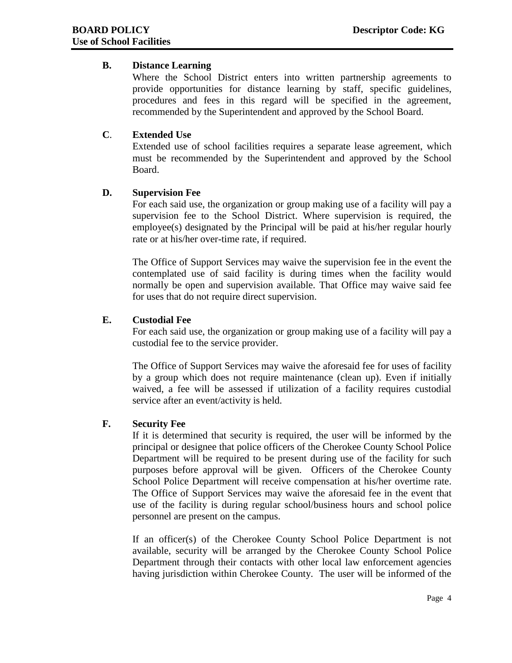## **B. Distance Learning**

Where the School District enters into written partnership agreements to provide opportunities for distance learning by staff, specific guidelines, procedures and fees in this regard will be specified in the agreement, recommended by the Superintendent and approved by the School Board.

## **C**. **Extended Use**

Extended use of school facilities requires a separate lease agreement, which must be recommended by the Superintendent and approved by the School Board.

## **D. Supervision Fee**

For each said use, the organization or group making use of a facility will pay a supervision fee to the School District. Where supervision is required, the employee(s) designated by the Principal will be paid at his/her regular hourly rate or at his/her over-time rate, if required.

The Office of Support Services may waive the supervision fee in the event the contemplated use of said facility is during times when the facility would normally be open and supervision available. That Office may waive said fee for uses that do not require direct supervision.

#### **E. Custodial Fee**

For each said use, the organization or group making use of a facility will pay a custodial fee to the service provider.

The Office of Support Services may waive the aforesaid fee for uses of facility by a group which does not require maintenance (clean up). Even if initially waived, a fee will be assessed if utilization of a facility requires custodial service after an event/activity is held.

#### **F. Security Fee**

If it is determined that security is required, the user will be informed by the principal or designee that police officers of the Cherokee County School Police Department will be required to be present during use of the facility for such purposes before approval will be given. Officers of the Cherokee County School Police Department will receive compensation at his/her overtime rate. The Office of Support Services may waive the aforesaid fee in the event that use of the facility is during regular school/business hours and school police personnel are present on the campus.

If an officer(s) of the Cherokee County School Police Department is not available, security will be arranged by the Cherokee County School Police Department through their contacts with other local law enforcement agencies having jurisdiction within Cherokee County. The user will be informed of the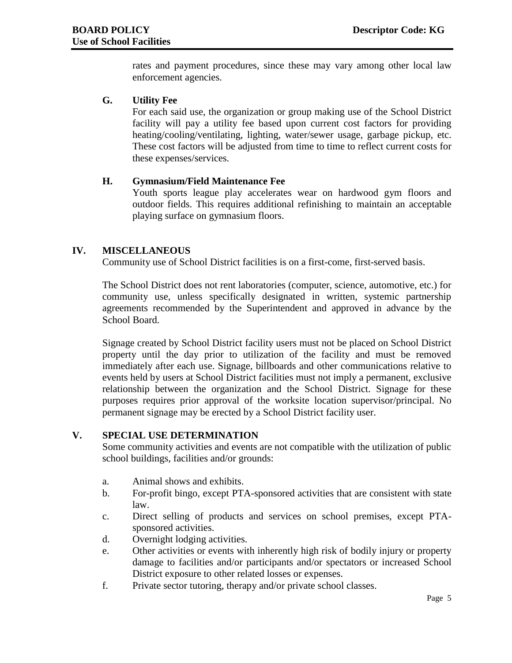rates and payment procedures, since these may vary among other local law enforcement agencies.

## **G. Utility Fee**

For each said use, the organization or group making use of the School District facility will pay a utility fee based upon current cost factors for providing heating/cooling/ventilating, lighting, water/sewer usage, garbage pickup, etc. These cost factors will be adjusted from time to time to reflect current costs for these expenses/services.

## **H. Gymnasium/Field Maintenance Fee**

Youth sports league play accelerates wear on hardwood gym floors and outdoor fields. This requires additional refinishing to maintain an acceptable playing surface on gymnasium floors.

## **IV. MISCELLANEOUS**

Community use of School District facilities is on a first-come, first-served basis.

The School District does not rent laboratories (computer, science, automotive, etc.) for community use, unless specifically designated in written, systemic partnership agreements recommended by the Superintendent and approved in advance by the School Board.

Signage created by School District facility users must not be placed on School District property until the day prior to utilization of the facility and must be removed immediately after each use. Signage, billboards and other communications relative to events held by users at School District facilities must not imply a permanent, exclusive relationship between the organization and the School District. Signage for these purposes requires prior approval of the worksite location supervisor/principal. No permanent signage may be erected by a School District facility user.

#### **V. SPECIAL USE DETERMINATION**

Some community activities and events are not compatible with the utilization of public school buildings, facilities and/or grounds:

- a. Animal shows and exhibits.
- b. For-profit bingo, except PTA-sponsored activities that are consistent with state law.
- c. Direct selling of products and services on school premises, except PTAsponsored activities.
- d. Overnight lodging activities.
- e. Other activities or events with inherently high risk of bodily injury or property damage to facilities and/or participants and/or spectators or increased School District exposure to other related losses or expenses.
- f. Private sector tutoring, therapy and/or private school classes.